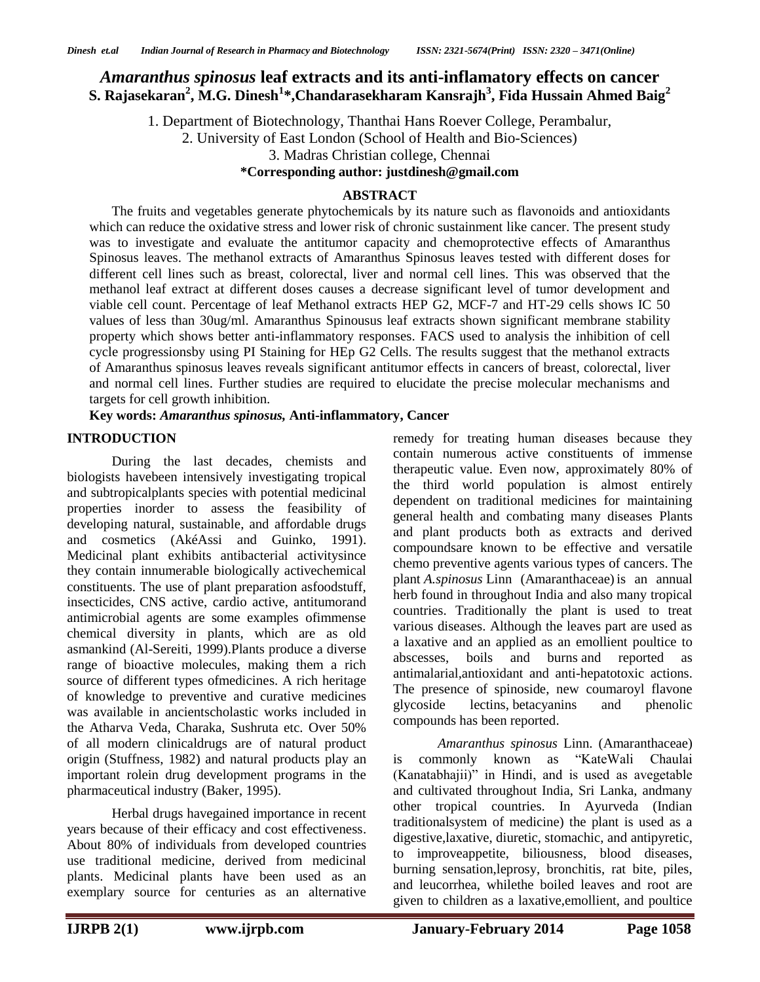# *Amaranthus spinosus* **leaf extracts and its anti-inflamatory effects on cancer S. Rajasekaran<sup>2</sup> , M.G. Dinesh<sup>1</sup> \*,Chandarasekharam Kansrajh<sup>3</sup> , Fida Hussain Ahmed Baig<sup>2</sup>**

1. Department of Biotechnology, Thanthai Hans Roever College, Perambalur,

2. University of East London (School of Health and Bio-Sciences)

3. Madras Christian college, Chennai

#### **\*Corresponding author: justdinesh@gmail.com**

#### **ABSTRACT**

The fruits and vegetables generate phytochemicals by its nature such as flavonoids and antioxidants which can reduce the oxidative stress and lower risk of chronic sustainment like cancer. The present study was to investigate and evaluate the antitumor capacity and chemoprotective effects of Amaranthus Spinosus leaves. The methanol extracts of Amaranthus Spinosus leaves tested with different doses for different cell lines such as breast, colorectal, liver and normal cell lines. This was observed that the methanol leaf extract at different doses causes a decrease significant level of tumor development and viable cell count. Percentage of leaf Methanol extracts HEP G2, MCF-7 and HT-29 cells shows IC 50 values of less than 30ug/ml. Amaranthus Spinousus leaf extracts shown significant membrane stability property which shows better anti-inflammatory responses. FACS used to analysis the inhibition of cell cycle progressionsby using PI Staining for HEp G2 Cells. The results suggest that the methanol extracts of Amaranthus spinosus leaves reveals significant antitumor effects in cancers of breast, colorectal, liver and normal cell lines. Further studies are required to elucidate the precise molecular mechanisms and targets for cell growth inhibition.

# **Key words:** *Amaranthus spinosus,* **Anti-inflammatory, Cancer**

#### **INTRODUCTION**

During the last decades, chemists and biologists havebeen intensively investigating tropical and subtropicalplants species with potential medicinal properties inorder to assess the feasibility of developing natural, sustainable, and affordable drugs and cosmetics (AkéAssi and Guinko, 1991). Medicinal plant exhibits antibacterial activitysince they contain innumerable biologically activechemical constituents. The use of plant preparation asfoodstuff, insecticides, CNS active, cardio active, antitumorand antimicrobial agents are some examples ofimmense chemical diversity in plants, which are as old asmankind (Al-Sereiti, 1999).Plants produce a diverse range of bioactive molecules, making them a rich source of different types ofmedicines. A rich heritage of knowledge to preventive and curative medicines was available in ancientscholastic works included in the Atharva Veda, Charaka, Sushruta etc. Over 50% of all modern clinicaldrugs are of natural product origin (Stuffness, 1982) and natural products play an important rolein drug development programs in the pharmaceutical industry (Baker, 1995).

Herbal drugs havegained importance in recent years because of their efficacy and cost effectiveness. About 80% of individuals from developed countries use traditional medicine, derived from medicinal plants. Medicinal plants have been used as an exemplary source for centuries as an alternative

remedy for treating human diseases because they contain numerous active constituents of immense therapeutic value. Even now, approximately 80% of the third world population is almost entirely dependent on traditional medicines for maintaining general health and combating many diseases Plants and plant products both as extracts and derived compoundsare known to be effective and versatile chemo preventive agents various types of cancers. The plant *A.spinosus* Linn (Amaranthaceae)is an annual herb found in throughout India and also many tropical countries. Traditionally the plant is used to treat various diseases. Although the leaves part are used as a laxative and an applied as an emollient poultice to abscesses, boils and burns and reported as antimalarial,antioxidant and anti-hepatotoxic actions. The presence of spinoside, new coumaroyl flavone glycoside lectins, betacyanins and phenolic compounds has been reported.

*Amaranthus spinosus* Linn. (Amaranthaceae) is commonly known as "KateWali Chaulai (Kanatabhajii)" in Hindi, and is used as avegetable and cultivated throughout India, Sri Lanka, andmany other tropical countries. In Ayurveda (Indian traditionalsystem of medicine) the plant is used as a digestive,laxative, diuretic, stomachic, and antipyretic, to improveappetite, biliousness, blood diseases, burning sensation,leprosy, bronchitis, rat bite, piles, and leucorrhea, whilethe boiled leaves and root are given to children as a laxative,emollient, and poultice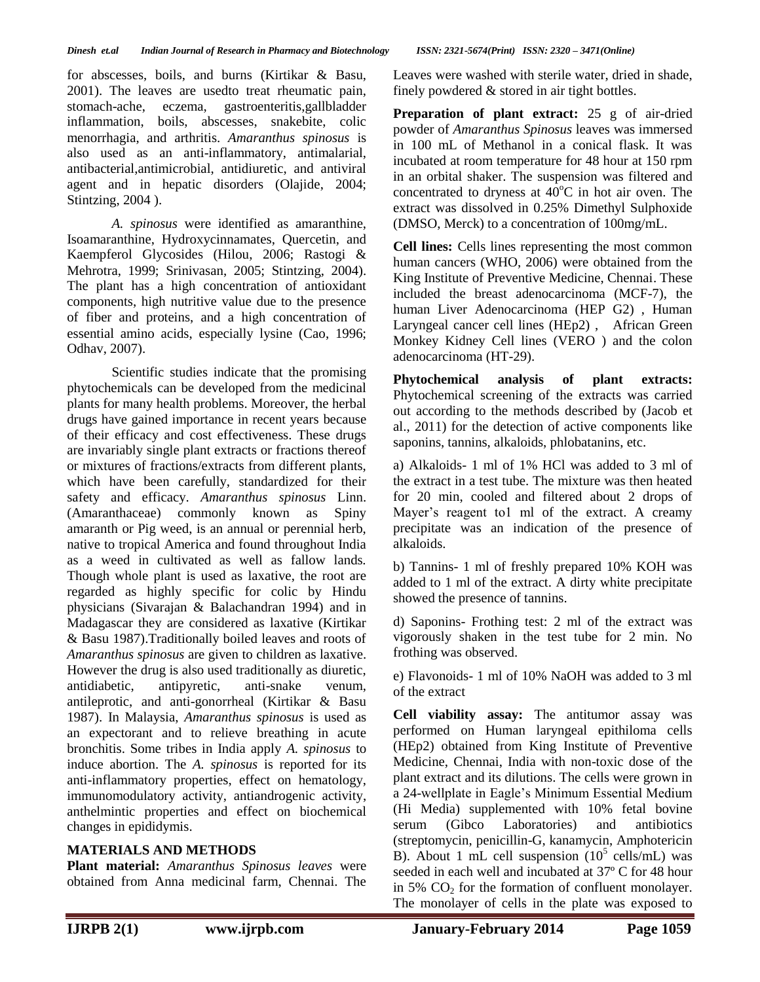for abscesses, boils, and burns (Kirtikar & Basu, 2001). The leaves are usedto treat rheumatic pain, stomach-ache, eczema, gastroenteritis,gallbladder inflammation, boils, abscesses, snakebite, colic menorrhagia, and arthritis. *Amaranthus spinosus* is also used as an anti-inflammatory, antimalarial, antibacterial,antimicrobial, antidiuretic, and antiviral agent and in hepatic disorders (Olajide, 2004; Stintzing, 2004 ).

*A. spinosus* were identified as amaranthine, Isoamaranthine, Hydroxycinnamates, Quercetin, and Kaempferol Glycosides (Hilou, 2006; Rastogi & Mehrotra, 1999; Srinivasan, 2005; Stintzing, 2004). The plant has a high concentration of antioxidant components, high nutritive value due to the presence of fiber and proteins, and a high concentration of essential amino acids, especially lysine (Cao, 1996; Odhav, 2007).

Scientific studies indicate that the promising phytochemicals can be developed from the medicinal plants for many health problems. Moreover, the herbal drugs have gained importance in recent years because of their efficacy and cost effectiveness. These drugs are invariably single plant extracts or fractions thereof or mixtures of fractions/extracts from different plants, which have been carefully, standardized for their safety and efficacy. *Amaranthus spinosus* Linn. (Amaranthaceae) commonly known as Spiny amaranth or Pig weed, is an annual or perennial herb, native to tropical America and found throughout India as a weed in cultivated as well as fallow lands. Though whole plant is used as laxative, the root are regarded as highly specific for colic by Hindu physicians (Sivarajan & Balachandran 1994) and in Madagascar they are considered as laxative (Kirtikar & Basu 1987).Traditionally boiled leaves and roots of *Amaranthus spinosus* are given to children as laxative. However the drug is also used traditionally as diuretic, antidiabetic, antipyretic, anti-snake venum, antileprotic, and anti-gonorrheal (Kirtikar & Basu 1987). In Malaysia, *Amaranthus spinosus* is used as an expectorant and to relieve breathing in acute bronchitis. Some tribes in India apply *A. spinosus* to induce abortion. The *A. spinosus* is reported for its anti-inflammatory properties, effect on hematology, immunomodulatory activity, antiandrogenic activity, anthelmintic properties and effect on biochemical changes in epididymis.

# **MATERIALS AND METHODS**

**Plant material:** *Amaranthus Spinosus leaves* were obtained from Anna medicinal farm, Chennai. The

Leaves were washed with sterile water, dried in shade, finely powdered & stored in air tight bottles.

**Preparation of plant extract:** 25 g of air-dried powder of *Amaranthus Spinosus* leaves was immersed in 100 mL of Methanol in a conical flask. It was incubated at room temperature for 48 hour at 150 rpm in an orbital shaker. The suspension was filtered and concentrated to dryness at  $40^{\circ}$ C in hot air oven. The extract was dissolved in 0.25% Dimethyl Sulphoxide (DMSO, Merck) to a concentration of 100mg/mL.

**Cell lines:** Cells lines representing the most common human cancers (WHO, 2006) were obtained from the King Institute of Preventive Medicine, Chennai. These included the breast adenocarcinoma (MCF-7), the human Liver Adenocarcinoma (HEP G2) , Human Laryngeal cancer cell lines (HEp2) , African Green Monkey Kidney Cell lines (VERO ) and the colon adenocarcinoma (HT-29).

**Phytochemical analysis of plant extracts:**  Phytochemical screening of the extracts was carried out according to the methods described by (Jacob et al., 2011) for the detection of active components like saponins, tannins, alkaloids, phlobatanins, etc.

a) Alkaloids- 1 ml of 1% HCl was added to 3 ml of the extract in a test tube. The mixture was then heated for 20 min, cooled and filtered about 2 drops of Mayer's reagent to1 ml of the extract. A creamy precipitate was an indication of the presence of alkaloids.

b) Tannins- 1 ml of freshly prepared 10% KOH was added to 1 ml of the extract. A dirty white precipitate showed the presence of tannins.

d) Saponins- Frothing test: 2 ml of the extract was vigorously shaken in the test tube for 2 min. No frothing was observed.

e) Flavonoids- 1 ml of 10% NaOH was added to 3 ml of the extract

**Cell viability assay:** The antitumor assay was performed on Human laryngeal epithiloma cells (HEp2) obtained from King Institute of Preventive Medicine, Chennai, India with non-toxic dose of the plant extract and its dilutions. The cells were grown in a 24-wellplate in Eagle's Minimum Essential Medium (Hi Media) supplemented with 10% fetal bovine serum (Gibco Laboratories) and antibiotics (streptomycin, penicillin-G, kanamycin, Amphotericin B). About 1 mL cell suspension  $(10^5 \text{ cells/mL})$  was seeded in each well and incubated at 37º C for 48 hour in 5%  $CO<sub>2</sub>$  for the formation of confluent monolayer. The monolayer of cells in the plate was exposed to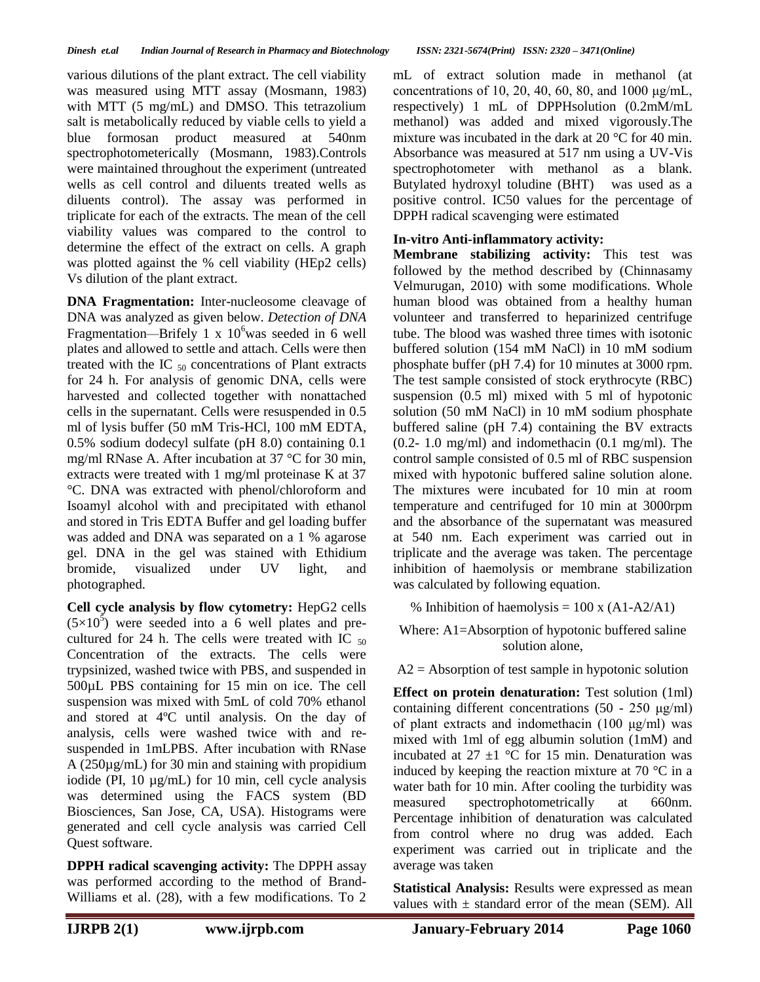various dilutions of the plant extract. The cell viability was measured using MTT assay (Mosmann, 1983) with MTT (5 mg/mL) and DMSO. This tetrazolium salt is metabolically reduced by viable cells to yield a blue formosan product measured at 540nm spectrophotometerically (Mosmann, 1983).Controls were maintained throughout the experiment (untreated wells as cell control and diluents treated wells as diluents control). The assay was performed in triplicate for each of the extracts. The mean of the cell viability values was compared to the control to determine the effect of the extract on cells. A graph was plotted against the % cell viability (HEp2 cells) Vs dilution of the plant extract.

**DNA Fragmentation:** Inter-nucleosome cleavage of DNA was analyzed as given below. *Detection of DNA*  Fragmentation—Brifely 1 x 10<sup>6</sup> was seeded in 6 well plates and allowed to settle and attach. Cells were then treated with the IC  $_{50}$  concentrations of Plant extracts for 24 h. For analysis of genomic DNA, cells were harvested and collected together with nonattached cells in the supernatant. Cells were resuspended in 0.5 ml of lysis buffer (50 mM Tris-HCl, 100 mM EDTA, 0.5% sodium dodecyl sulfate (pH 8.0) containing 0.1 mg/ml RNase A. After incubation at 37 °C for 30 min, extracts were treated with 1 mg/ml proteinase K at 37 °C. DNA was extracted with phenol/chloroform and Isoamyl alcohol with and precipitated with ethanol and stored in Tris EDTA Buffer and gel loading buffer was added and DNA was separated on a 1 % agarose gel. DNA in the gel was stained with Ethidium bromide, visualized under UV light, and photographed.

**Cell cycle analysis by flow cytometry:** HepG2 cells  $(5\times10^5)$  were seeded into a 6 well plates and precultured for 24 h. The cells were treated with IC  $_{50}$ Concentration of the extracts. The cells were trypsinized, washed twice with PBS, and suspended in 500µL PBS containing for 15 min on ice. The cell suspension was mixed with 5mL of cold 70% ethanol and stored at 4ºC until analysis. On the day of analysis, cells were washed twice with and resuspended in 1mLPBS. After incubation with RNase A (250µg/mL) for 30 min and staining with propidium iodide (PI, 10 µg/mL) for 10 min, cell cycle analysis was determined using the FACS system (BD Biosciences, San Jose, CA, USA). Histograms were generated and cell cycle analysis was carried Cell Quest software.

**DPPH radical scavenging activity:** The DPPH assay was performed according to the method of Brand-Williams et al. (28), with a few modifications. To 2 mL of extract solution made in methanol (at concentrations of 10, 20, 40, 60, 80, and 1000 μg/mL, respectively) 1 mL of DPPHsolution (0.2mM/mL methanol) was added and mixed vigorously.The mixture was incubated in the dark at 20 °C for 40 min. Absorbance was measured at 517 nm using a UV-Vis spectrophotometer with methanol as a blank. Butylated hydroxyl toludine (BHT) was used as a positive control. IC50 values for the percentage of DPPH radical scavenging were estimated

# **In-vitro Anti-inflammatory activity:**

**Membrane stabilizing activity:** This test was followed by the method described by (Chinnasamy Velmurugan, 2010) with some modifications. Whole human blood was obtained from a healthy human volunteer and transferred to heparinized centrifuge tube. The blood was washed three times with isotonic buffered solution (154 mM NaCl) in 10 mM sodium phosphate buffer (pH 7.4) for 10 minutes at 3000 rpm. The test sample consisted of stock erythrocyte (RBC) suspension (0.5 ml) mixed with 5 ml of hypotonic solution (50 mM NaCl) in 10 mM sodium phosphate buffered saline (pH 7.4) containing the BV extracts (0.2- 1.0 mg/ml) and indomethacin (0.1 mg/ml). The control sample consisted of 0.5 ml of RBC suspension mixed with hypotonic buffered saline solution alone. The mixtures were incubated for 10 min at room temperature and centrifuged for 10 min at 3000rpm and the absorbance of the supernatant was measured at 540 nm. Each experiment was carried out in triplicate and the average was taken. The percentage inhibition of haemolysis or membrane stabilization was calculated by following equation.

% Inhibition of haemolysis =  $100 \times (A1-A2/A1)$ 

Where: A1=Absorption of hypotonic buffered saline solution alone,

 $A2 =$  Absorption of test sample in hypotonic solution

**Effect on protein denaturation:** Test solution (1ml) containing different concentrations (50 - 250 μg/ml) of plant extracts and indomethacin (100 μg/ml) was mixed with 1ml of egg albumin solution (1mM) and incubated at  $27 \pm 1$  °C for 15 min. Denaturation was induced by keeping the reaction mixture at 70 °C in a water bath for 10 min. After cooling the turbidity was measured spectrophotometrically at 660nm. Percentage inhibition of denaturation was calculated from control where no drug was added. Each experiment was carried out in triplicate and the average was taken

**Statistical Analysis:** Results were expressed as mean values with  $\pm$  standard error of the mean (SEM). All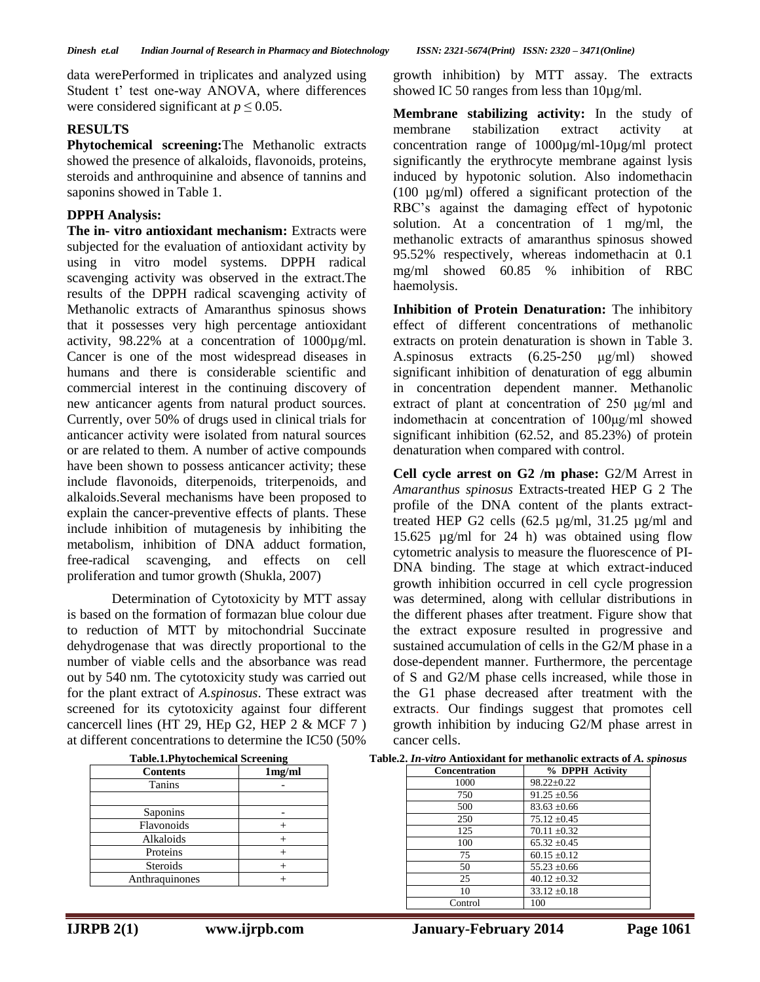showed IC 50 ranges from less than  $10\mu g/ml$ .

growth inhibition) by MTT assay. The extracts

**Membrane stabilizing activity:** In the study of membrane stabilization extract activity at concentration range of 1000µg/ml-10µg/ml protect significantly the erythrocyte membrane against lysis induced by hypotonic solution. Also indomethacin (100 µg/ml) offered a significant protection of the RBC's against the damaging effect of hypotonic solution. At a concentration of 1 mg/ml, the methanolic extracts of amaranthus spinosus showed 95.52% respectively, whereas indomethacin at 0.1 mg/ml showed 60.85 % inhibition of RBC

data werePerformed in triplicates and analyzed using Student t' test one-way ANOVA, where differences were considered significant at  $p \leq 0.05$ .

# **RESULTS**

**Phytochemical screening:**The Methanolic extracts showed the presence of alkaloids, flavonoids, proteins, steroids and anthroquinine and absence of tannins and saponins showed in Table 1.

# **DPPH Analysis:**

**The in- vitro antioxidant mechanism:** Extracts were subjected for the evaluation of antioxidant activity by using in vitro model systems. DPPH radical scavenging activity was observed in the extract.The results of the DPPH radical scavenging activity of Methanolic extracts of Amaranthus spinosus shows that it possesses very high percentage antioxidant activity, 98.22% at a concentration of 1000µg/ml. Cancer is one of the most widespread diseases in humans and there is considerable scientific and commercial interest in the continuing discovery of new anticancer agents from natural product sources. Currently, over 50% of drugs used in clinical trials for anticancer activity were isolated from natural sources or are related to them. A number of active compounds have been shown to possess anticancer activity; these include flavonoids, diterpenoids, triterpenoids, and alkaloids.Several mechanisms have been proposed to explain the cancer-preventive effects of plants. These include inhibition of mutagenesis by inhibiting the metabolism, inhibition of DNA adduct formation, free-radical scavenging, and effects on cell proliferation and tumor growth (Shukla, 2007)

Determination of Cytotoxicity by MTT assay is based on the formation of formazan blue colour due to reduction of MTT by mitochondrial Succinate dehydrogenase that was directly proportional to the number of viable cells and the absorbance was read out by 540 nm. The cytotoxicity study was carried out for the plant extract of *A.spinosus*. These extract was screened for its cytotoxicity against four different cancercell lines (HT 29, HEp G2, HEP 2 & MCF 7 ) at different concentrations to determine the IC50 (50%

| Table.1.Phytochemical Screening |        |
|---------------------------------|--------|
| <b>Contents</b>                 | 1mg/ml |
| Tanins                          |        |
|                                 |        |
| Saponins                        |        |
| Flavonoids                      |        |
| Alkaloids                       |        |
| Proteins                        |        |
| Steroids                        |        |
| Anthraquinones                  |        |

Table.2. *In-vitro* Antioxidant for methanolic extracts of *A. spinosus* 

haemolysis.

| Concentration | % DPPH Activity  |
|---------------|------------------|
| 1000          | $98.22 \pm 0.22$ |
| 750           | $91.25 \pm 0.56$ |
| 500           | $83.63 \pm 0.66$ |
| 250           | $75.12 \pm 0.45$ |
| 125           | $70.11 \pm 0.32$ |
| 100           | $65.32 \pm 0.45$ |
| 75            | $60.15 \pm 0.12$ |
| 50            | $55.23 \pm 0.66$ |
| 25            | $40.12 \pm 0.32$ |
| 10            | $33.12 \pm 0.18$ |
| Control       | 100              |

| indomethacin at concentration of $100\mu g/ml$ showed             |  |  |
|-------------------------------------------------------------------|--|--|
| significant inhibition $(62.52, \text{ and } 85.23\%)$ of protein |  |  |
| denaturation when compared with control.                          |  |  |

**Inhibition of Protein Denaturation:** The inhibitory effect of different concentrations of methanolic extracts on protein denaturation is shown in Table 3. A.spinosus extracts (6.25-250 μg/ml) showed significant inhibition of denaturation of egg albumin in concentration dependent manner. Methanolic extract of plant at concentration of 250 μg/ml and

**Cell cycle arrest on G2 /m phase:** G2/M Arrest in *Amaranthus spinosus* Extracts-treated HEP G 2 The profile of the DNA content of the plants extracttreated HEP G2 cells (62.5 µg/ml, 31.25 µg/ml and 15.625 µg/ml for 24 h) was obtained using flow cytometric analysis to measure the fluorescence of PI-DNA binding. The stage at which extract-induced growth inhibition occurred in cell cycle progression was determined, along with cellular distributions in the different phases after treatment. Figure show that the extract exposure resulted in progressive and sustained accumulation of cells in the G2/M phase in a dose-dependent manner. Furthermore, the percentage of S and G2/M phase cells increased, while those in the G1 phase decreased after treatment with the extracts. Our findings suggest that promotes cell growth inhibition by inducing G2/M phase arrest in cancer cells.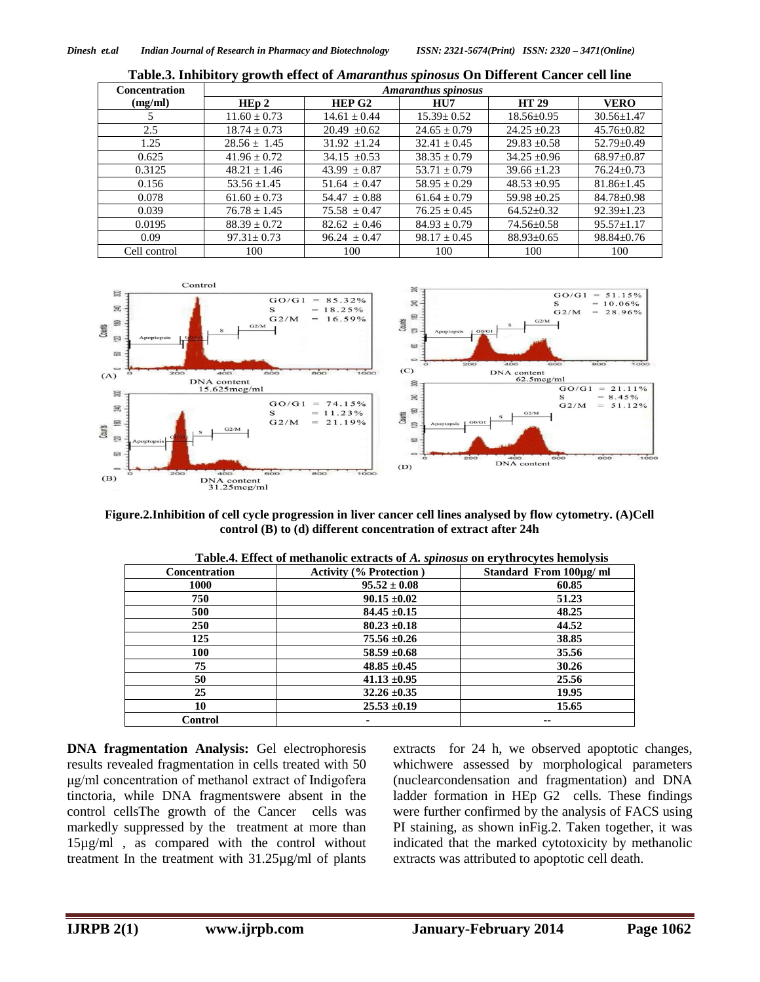| <b>Concentration</b> | <b>Amaranthus spinosus</b> |                    |                  |                  |                  |
|----------------------|----------------------------|--------------------|------------------|------------------|------------------|
| (mg/ml)              | HEp2                       | HEP G <sub>2</sub> | HU7              | <b>HT 29</b>     | <b>VERO</b>      |
|                      | $11.60 \pm 0.73$           | $14.61 + 0.44$     | $15.39 \pm 0.52$ | $18.56 \pm 0.95$ | $30.56 \pm 1.47$ |
| 2.5                  | $18.74 + 0.73$             | $20.49 \pm 0.62$   | $24.65 \pm 0.79$ | $24.25 + 0.23$   | $45.76 \pm 0.82$ |
| 1.25                 | $28.56 + 1.45$             | $31.92 + 1.24$     | $32.41 + 0.45$   | $29.83 + 0.58$   | $52.79 \pm 0.49$ |
| 0.625                | $41.96 + 0.72$             | $34.15 + 0.53$     | $38.35 + 0.79$   | $34.25 + 0.96$   | $68.97+0.87$     |
| 0.3125               | $48.21 \pm 1.46$           | $43.99 \pm 0.87$   | $53.71 + 0.79$   | $39.66 + 1.23$   | $76.24 \pm 0.73$ |
| 0.156                | $53.56 + 1.45$             | $51.64 + 0.47$     | $58.95 + 0.29$   | $48.53 + 0.95$   | $81.86 \pm 1.45$ |
| 0.078                | $61.60 + 0.73$             | $54.47 \pm 0.88$   | $61.64 + 0.79$   | $59.98 + 0.25$   | $84.78 \pm 0.98$ |
| 0.039                | $76.78 \pm 1.45$           | $75.58 \pm 0.47$   | $76.25 \pm 0.45$ | $64.52+0.32$     | $92.39 + 1.23$   |
| 0.0195               | $88.39 + 0.72$             | $82.62 \pm 0.46$   | $84.93 + 0.79$   | $74.56 \pm 0.58$ | $95.57 + 1.17$   |
| 0.09                 | $97.31 + 0.73$             | $96.24 \pm 0.47$   | $98.17 \pm 0.45$ | $88.93 \pm 0.65$ | $98.84 \pm 0.76$ |
| Cell control         | 100                        | 100                | 100              | 100              | 100              |





#### **Figure.2.Inhibition of cell cycle progression in liver cancer cell lines analysed by flow cytometry. (A)Cell control (B) to (d) different concentration of extract after 24h**

| <b>Concentration</b> | <b>Activity (% Protection)</b> | -, ---- - -, --- -------, ---<br>Standard From 100µg/ ml |
|----------------------|--------------------------------|----------------------------------------------------------|
| <b>1000</b>          | $95.52 \pm 0.08$               | 60.85                                                    |
| 750                  | $90.15 \pm 0.02$               | 51.23                                                    |
| 500                  | $84.45 \pm 0.15$               | 48.25                                                    |
| 250                  | $80.23 \pm 0.18$               | 44.52                                                    |
| 125                  | $75.56 \pm 0.26$               | 38.85                                                    |
| 100                  | $58.59 \pm 0.68$               | 35.56                                                    |
| 75                   | $48.85 \pm 0.45$               | 30.26                                                    |
| 50                   | $41.13 \pm 0.95$               | 25.56                                                    |
| 25                   | $32.26 \pm 0.35$               | 19.95                                                    |
| 10                   | $25.53 \pm 0.19$               | 15.65                                                    |
| Control              | ۰                              | --                                                       |

**DNA fragmentation Analysis:** Gel electrophoresis results revealed fragmentation in cells treated with 50 μg/ml concentration of methanol extract of Indigofera tinctoria, while DNA fragmentswere absent in the control cellsThe growth of the Cancer cells was markedly suppressed by the treatment at more than 15µg/ml , as compared with the control without treatment In the treatment with 31.25µg/ml of plants extracts for 24 h, we observed apoptotic changes, whichwere assessed by morphological parameters (nuclearcondensation and fragmentation) and DNA ladder formation in HEp G2 cells. These findings were further confirmed by the analysis of FACS using PI staining, as shown inFig.2. Taken together, it was indicated that the marked cytotoxicity by methanolic extracts was attributed to apoptotic cell death.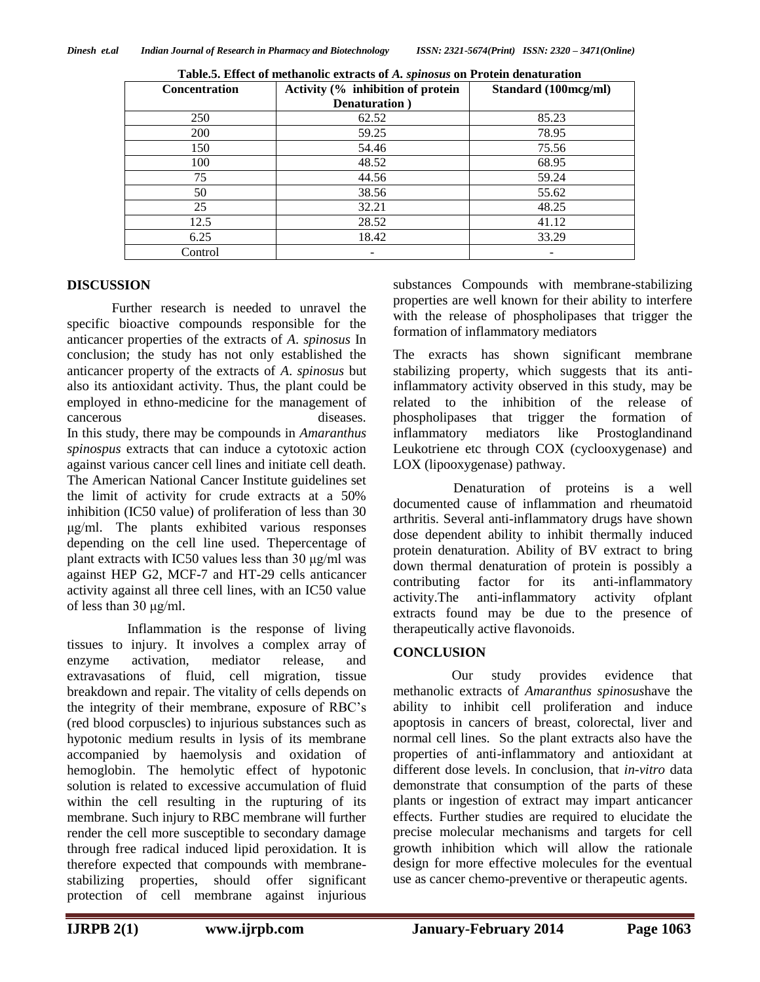| <b>Concentration</b> | Activity (% inhibition of protein | Standard (100mcg/ml) |
|----------------------|-----------------------------------|----------------------|
|                      | Denaturation)                     |                      |
| 250                  | 62.52                             | 85.23                |
| 200                  | 59.25                             | 78.95                |
| 150                  | 54.46                             | 75.56                |
| 100                  | 48.52                             | 68.95                |
| 75                   | 44.56                             | 59.24                |
| 50                   | 38.56                             | 55.62                |
| 25                   | 32.21                             | 48.25                |
| 12.5                 | 28.52                             | 41.12                |
| 6.25                 | 18.42                             | 33.29                |
| Control              |                                   |                      |

| Table.5. Effect of methanolic extracts of A. spinosus on Protein denaturation |  |
|-------------------------------------------------------------------------------|--|
|                                                                               |  |

#### **DISCUSSION**

Further research is needed to unravel the specific bioactive compounds responsible for the anticancer properties of the extracts of *A*. *spinosus* In conclusion; the study has not only established the anticancer property of the extracts of *A*. *spinosus* but also its antioxidant activity. Thus, the plant could be employed in ethno-medicine for the management of cancerous diseases. In this study, there may be compounds in *Amaranthus spinospus* extracts that can induce a cytotoxic action against various cancer cell lines and initiate cell death. The American National Cancer Institute guidelines set the limit of activity for crude extracts at a 50% inhibition (IC50 value) of proliferation of less than 30 μg/ml. The plants exhibited various responses depending on the cell line used. Thepercentage of plant extracts with IC50 values less than 30 μg/ml was against HEP G2, MCF-7 and HT-29 cells anticancer activity against all three cell lines, with an IC50 value of less than 30 μg/ml.

Inflammation is the response of living tissues to injury. It involves a complex array of enzyme activation, mediator release, and extravasations of fluid, cell migration, tissue breakdown and repair. The vitality of cells depends on the integrity of their membrane, exposure of RBC's (red blood corpuscles) to injurious substances such as hypotonic medium results in lysis of its membrane accompanied by haemolysis and oxidation of hemoglobin. The hemolytic effect of hypotonic solution is related to excessive accumulation of fluid within the cell resulting in the rupturing of its membrane. Such injury to RBC membrane will further render the cell more susceptible to secondary damage through free radical induced lipid peroxidation. It is therefore expected that compounds with membranestabilizing properties, should offer significant protection of cell membrane against injurious

substances Compounds with membrane-stabilizing properties are well known for their ability to interfere with the release of phospholipases that trigger the formation of inflammatory mediators

The exracts has shown significant membrane stabilizing property, which suggests that its antiinflammatory activity observed in this study, may be related to the inhibition of the release of phospholipases that trigger the formation of inflammatory mediators like Prostoglandinand Leukotriene etc through COX (cyclooxygenase) and LOX (lipooxygenase) pathway.

Denaturation of proteins is a well documented cause of inflammation and rheumatoid arthritis. Several anti-inflammatory drugs have shown dose dependent ability to inhibit thermally induced protein denaturation. Ability of BV extract to bring down thermal denaturation of protein is possibly a contributing factor for its anti-inflammatory activity.The anti-inflammatory activity ofplant extracts found may be due to the presence of therapeutically active flavonoids.

# **CONCLUSION**

Our study provides evidence that methanolic extracts of *Amaranthus spinosus*have the ability to inhibit cell proliferation and induce apoptosis in cancers of breast, colorectal, liver and normal cell lines. So the plant extracts also have the properties of anti-inflammatory and antioxidant at different dose levels. In conclusion, that *in-vitro* data demonstrate that consumption of the parts of these plants or ingestion of extract may impart anticancer effects. Further studies are required to elucidate the precise molecular mechanisms and targets for cell growth inhibition which will allow the rationale design for more effective molecules for the eventual use as cancer chemo-preventive or therapeutic agents.